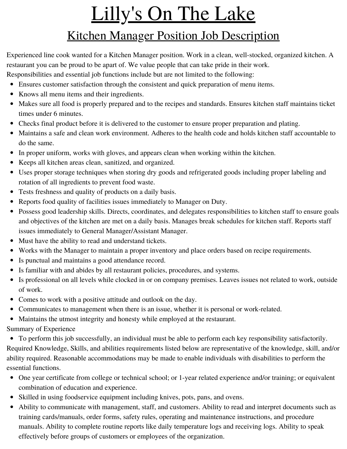## Lilly's On The Lake

## Kitchen Manager Position Job Description

Experienced line cook wanted for a Kitchen Manager position. Work in a clean, well-stocked, organized kitchen. A restaurant you can be proud to be apart of. We value people that can take pride in their work.

Responsibilities and essential job functions include but are not limited to the following:

- Ensures customer satisfaction through the consistent and quick preparation of menu items.
- Knows all menu items and their ingredients.
- Makes sure all food is properly prepared and to the recipes and standards. Ensures kitchen staff maintains ticket times under 6 minutes.
- Checks final product before it is delivered to the customer to ensure proper preparation and plating.
- Maintains a safe and clean work environment. Adheres to the health code and holds kitchen staff accountable to do the same.
- In proper uniform, works with gloves, and appears clean when working within the kitchen.
- Keeps all kitchen areas clean, sanitized, and organized.
- Uses proper storage techniques when storing dry goods and refrigerated goods including proper labeling and rotation of all ingredients to prevent food waste.
- Tests freshness and quality of products on a daily basis.
- Reports food quality of facilities issues immediately to Manager on Duty.
- Possess good leadership skills. Directs, coordinates, and delegates responsibilities to kitchen staff to ensure goals and objectives of the kitchen are met on a daily basis. Manages break schedules for kitchen staff. Reports staff issues immediately to General Manager/Assistant Manager.
- Must have the ability to read and understand tickets.
- Works with the Manager to maintain a proper inventory and place orders based on recipe requirements.
- Is punctual and maintains a good attendance record.
- Is familiar with and abides by all restaurant policies, procedures, and systems.
- Is professional on all levels while clocked in or on company premises. Leaves issues not related to work, outside of work.
- Comes to work with a positive attitude and outlook on the day.
- Communicates to management when there is an issue, whether it is personal or work-related.
- Maintains the utmost integrity and honesty while employed at the restaurant.

Summary of Experience

To perform this job successfully, an individual must be able to perform each key responsibility satisfactorily. Required Knowledge, Skills, and abilities requirements listed below are representative of the knowledge, skill, and/or ability required. Reasonable accommodations may be made to enable individuals with disabilities to perform the essential functions.

- One year certificate from college or technical school; or 1-year related experience and/or training; or equivalent combination of education and experience.
- Skilled in using foodservice equipment including knives, pots, pans, and ovens.
- Ability to communicate with management, staff, and customers. Ability to read and interpret documents such as training cards/manuals, order forms, safety rules, operating and maintenance instructions, and procedure manuals. Ability to complete routine reports like daily temperature logs and receiving logs. Ability to speak effectively before groups of customers or employees of the organization.